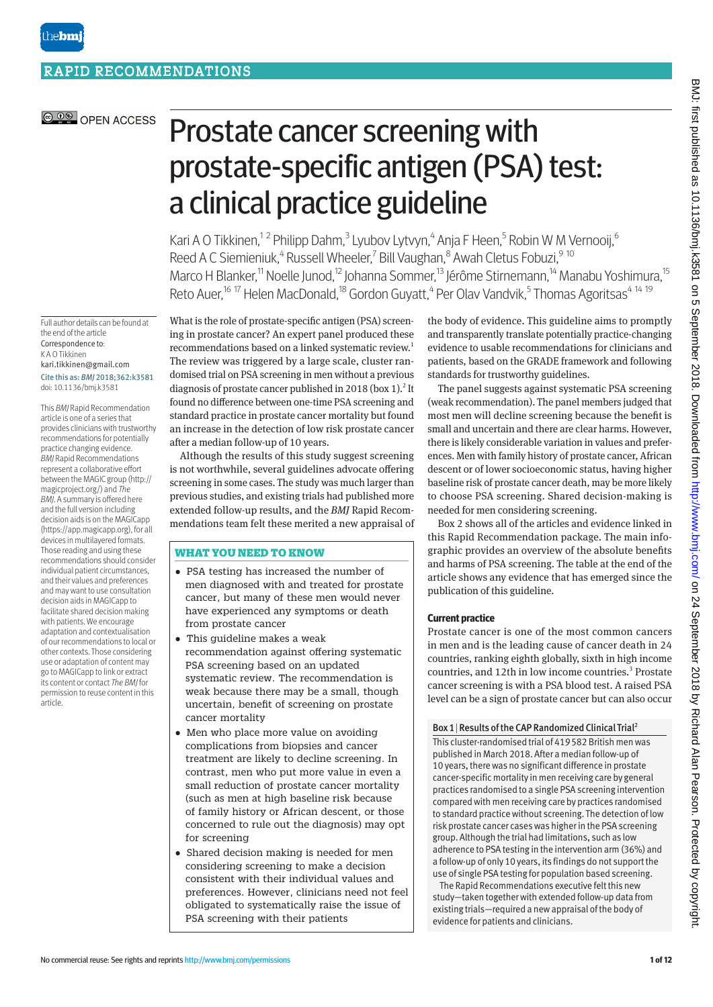© <u>⊕</u>© OPEN ACCESS

Full author details can be found at the end of the article Correspondence to: K A O Tikkinen kari.tikkinen@gmail.com Cite this as: *BMJ* 2018;362:k3581

doi: 10.1136/bmj.k3581 This *BMJ* Rapid Recommendation article is one of a series that provides clinicians with trustworthy

recommendations for potentially practice changing evidence. *BMJ* Rapid Recommendations represent a collaborative effort between the MAGIC group (http:// magicproject.org/) and *The BMJ*. A summary is offered here and the full version including decision aids is on the MAGICapp (https://app.magicapp.org), for all devices in multilayered formats. Those reading and using these recommendations should consider individual patient circumstances, and their values and preferences and may want to use consultation decision aids in MAGICapp to facilitate shared decision making with patients. We encourage adaptation and contextualisation of our recommendations to local or other contexts. Those considering use or adaptation of content may go to MAGICapp to link or extract its content or contact *The BMJ* for permission to reuse content in this article.

# Prostate cancer screening with prostate-specific antigen (PSA) test: a clinical practice guideline

Kari A O Tikkinen,<sup>12</sup> Philipp Dahm,<sup>3</sup> Lyubov Lytvyn,<sup>4</sup> Anja F Heen,<sup>5</sup> Robin W M Vernooij,<sup>6</sup> Reed A C Siemieniuk,<sup>4</sup> Russell Wheeler,<sup>7</sup> Bill Vaughan,<sup>8</sup> Awah Cletus Fobuzi,<sup>9 10</sup> Marco H Blanker,<sup>11</sup> Noelle Junod,<sup>12</sup> Johanna Sommer,<sup>13</sup> Jérôme Stirnemann,<sup>14</sup> Manabu Yoshimura,<sup>15</sup> Reto Auer,<sup>16 17</sup> Helen MacDonald,<sup>18</sup> Gordon Guyatt,<sup>4</sup> Per Olav Vandvik,<sup>5</sup> Thomas Agoritsas<sup>4 14 19</sup>

What is the role of prostate-specific antigen (PSA) screening in prostate cancer? An expert panel produced these recommendations based on a linked systematic review.<sup>1</sup> The review was triggered by a large scale, cluster randomised trial on PSA screening in men without a previous diagnosis of prostate cancer published in 2018 (box 1).<sup>2</sup> It found no difference between one-time PSA screening and standard practice in prostate cancer mortality but found an increase in the detection of low risk prostate cancer after a median follow-up of 10 years.

Although the results of this study suggest screening is not worthwhile, several guidelines advocate offering screening in some cases. The study was much larger than previous studies, and existing trials had published more extended follow-up results, and the *BMJ* Rapid Recommendations team felt these merited a new appraisal of

#### WHAT YOU NEED TO KNOW

- PSA testing has increased the number of men diagnosed with and treated for prostate cancer, but many of these men would never have experienced any symptoms or death from prostate cancer
- This guideline makes a weak recommendation against offering systematic PSA screening based on an updated systematic review. The recommendation is weak because there may be a small, though uncertain, benefit of screening on prostate cancer mortality
- Men who place more value on avoiding complications from biopsies and cancer treatment are likely to decline screening. In contrast, men who put more value in even a small reduction of prostate cancer mortality (such as men at high baseline risk because of family history or African descent, or those concerned to rule out the diagnosis) may opt for screening
- Shared decision making is needed for men considering screening to make a decision consistent with their individual values and preferences. However, clinicians need not feel obligated to systematically raise the issue of PSA screening with their patients

the body of evidence. This guideline aims to promptly and transparently translate potentially practice-changing evidence to usable recommendations for clinicians and patients, based on the GRADE framework and following standards for trustworthy guidelines.

The panel suggests against systematic PSA screening (weak recommendation). The panel members judged that most men will decline screening because the benefit is small and uncertain and there are clear harms. However, there is likely considerable variation in values and preferences. Men with family history of prostate cancer, African descent or of lower socioeconomic status, having higher baseline risk of prostate cancer death, may be more likely to choose PSA screening. Shared decision-making is needed for men considering screening.

Box 2 shows all of the articles and evidence linked in this Rapid Recommendation package. The main infographic provides an overview of the absolute benefits and harms of PSA screening. The table at the end of the article shows any evidence that has emerged since the publication of this guideline.

#### **Current practice**

Prostate cancer is one of the most common cancers in men and is the leading cause of cancer death in 24 countries, ranking eighth globally, sixth in high income countries, and 12th in low income countries.<sup>3</sup> Prostate cancer screening is with a PSA blood test. A raised PSA level can be a sign of prostate cancer but can also occur

#### Box 1 | Results of the CAP Randomized Clinical Trial<sup>2</sup>

This cluster-randomised trial of 419582 British men was published in March 2018. After a median follow-up of 10 years, there was no significant difference in prostate cancer-specific mortality in men receiving care by general practices randomised to a single PSA screening intervention compared with men receiving care by practices randomised to standard practice without screening. The detection of low risk prostate cancer cases was higher in the PSA screening group. Although the trial had limitations, such as low adherence to PSA testing in the intervention arm (36%) and a follow-up of only 10 years, its findings do not support the use of single PSA testing for population based screening.

The Rapid Recommendations executive felt this new study—taken together with extended follow-up data from existing trials—required a new appraisal of the body of evidence for patients and clinicians.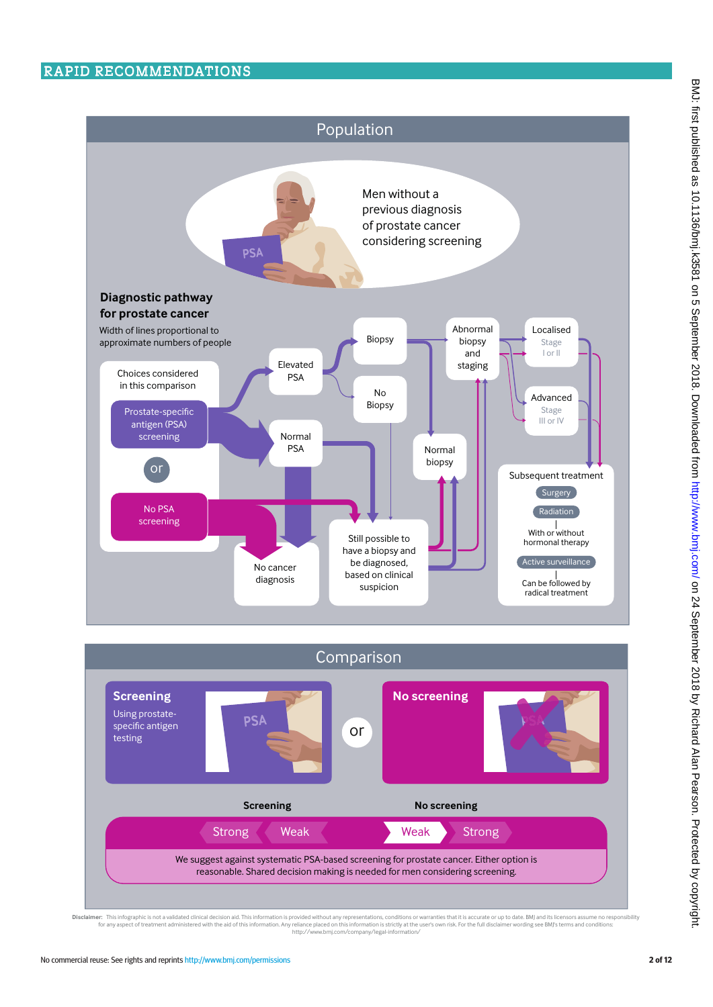



for any aspect of treatment administered with the aid of this information. Any reliance placed on this information is strictly at the user's own risk. For the full disclaimer wording see BMJ's terms and conditions:<br>http:// Disclaimer: This infographic is not a validated clinical decision aid. This information is provided without any representations, conditions or warranties that it is accurate or up to date. BMJ and its licensors assume no r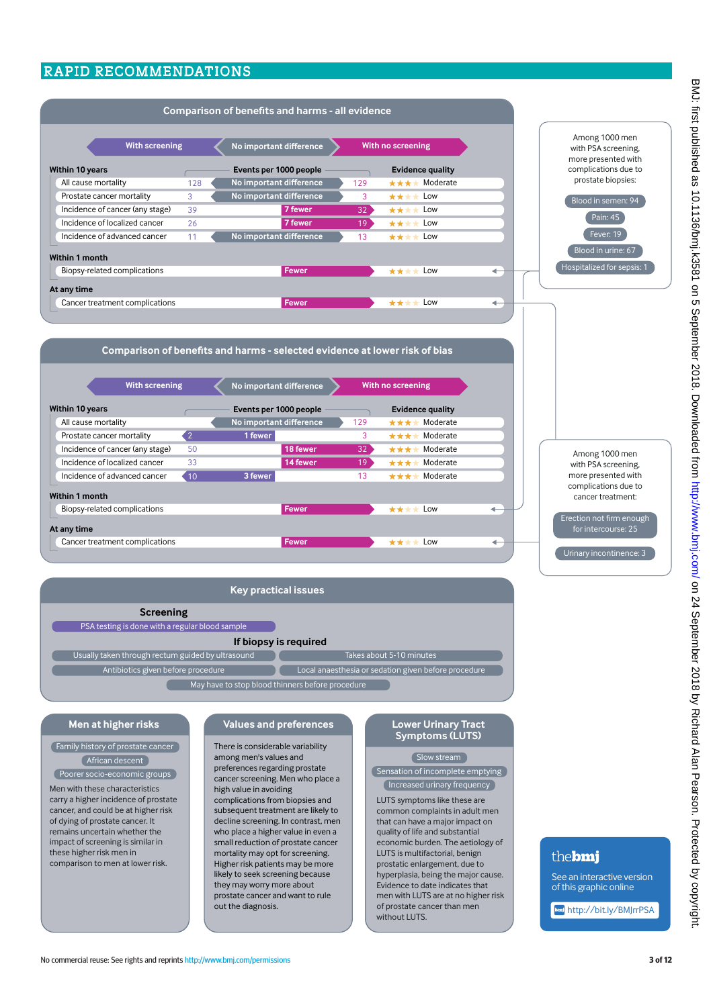| Comparison of benefits and harms - all evidence |     |  |                         |  |                 |                                    |
|-------------------------------------------------|-----|--|-------------------------|--|-----------------|------------------------------------|
| <b>With screening</b>                           |     |  | No important difference |  |                 | <b>With no screening</b>           |
| <b>Within 10 years</b>                          |     |  | Events per 1000 people  |  |                 | <b>Evidence quality</b>            |
| All cause mortality                             | 128 |  | No important difference |  | 129             | $\star \star \star \star$ Moderate |
| Prostate cancer mortality                       | 3   |  | No important difference |  | 3               | $\star \star \star \star$ Low      |
| Incidence of cancer (any stage)                 | 39  |  | 7 fewer                 |  | 32 <sup>2</sup> | $\star \star \star \star$ Low      |
| Incidence of localized cancer                   | 26  |  | 7 fewer                 |  | 19              | $\star\star\star\star$ Low         |
| Incidence of advanced cancer                    | 11  |  | No important difference |  | 13              | $\star\star\star\star$ Low         |
| <b>Within 1 month</b>                           |     |  |                         |  |                 |                                    |
| Biopsy-related complications                    |     |  | <b>Fewer</b>            |  |                 | $\star \star \star \star$ Low      |
| At any time                                     |     |  |                         |  |                 |                                    |
| Cancer treatment complications                  |     |  | <b>Fewer</b>            |  |                 | Low<br>****                        |

**Comparison of benefits and harms - selected evidence at lower risk of bias**

With screening **All 20 No important difference With no screening** 

**14 fewer 18 fewer**

**Fewer**

**Fewer**

<u>2</u> 1 **1 fewer** 1 and 1 and 2 3 **a** <del>x x x x</del> Moderate 50 32 Moderate

10 3 **10 3 fewer** Moderate

**1 fewer**

33





**Within 10 years Events per 1000 people Evidence quality No important difference** 2 129 <del>★★★★</del> Moderate

ä.

 $\leftarrow$ 

19 <del>X x x x</del> Moderate

 $\star\star\star\star$  Low

\*\*\*\*

Low

13

Among 1000 men with PSA screening, more presented with complications due to cancer treatment:

#### Erection not firm enough for intercourse: 25

Urinary incontinence: 3

# **Key practical issues**



#### **Men at higher risks**

**Within 1 month**

Biopsy-related complications

Cancer treatment complications

All cause mortality Prostate cancer mortality Incidence of cancer (any stage) Incidence of localized cancer Incidence of advanced cancer

**At any time**

#### Family history of prostate cancer African descent

Men with these characteristics carry a higher incidence of prostate cancer, and could be at higher risk of dying of prostate cancer. It remains uncertain whether the impact of screening is similar in these higher risk men in comparison to men at lower risk. Poorer socio-economic groups

#### **Values and preferences**

There is considerable variability among men's values and preferences regarding prostate cancer screening. Men who place a high value in avoiding complications from biopsies and subsequent treatment are likely to decline screening. In contrast, men who place a higher value in even a small reduction of prostate cancer mortality may opt for screening. Higher risk patients may be more likely to seek screening because they may worry more about prostate cancer and want to rule out the diagnosis.

#### **Lower Urinary Tract Symptoms (LUTS)**

Slow stream Sensation of incomplete emptying Increased urinary frequency

LUTS symptoms like these are common complaints in adult men that can have a major impact on quality of life and substantial economic burden. The aetiology of LUTS is multifactorial, benign prostatic enlargement, due to hyperplasia, being the major cause. Evidence to date indicates that men with LUTS are at no higher risk of prostate cancer than men without LUTS.

# the**bmj**

See an interactive version of this graphic online

**hmj** http://bit.ly/BMJrrPSA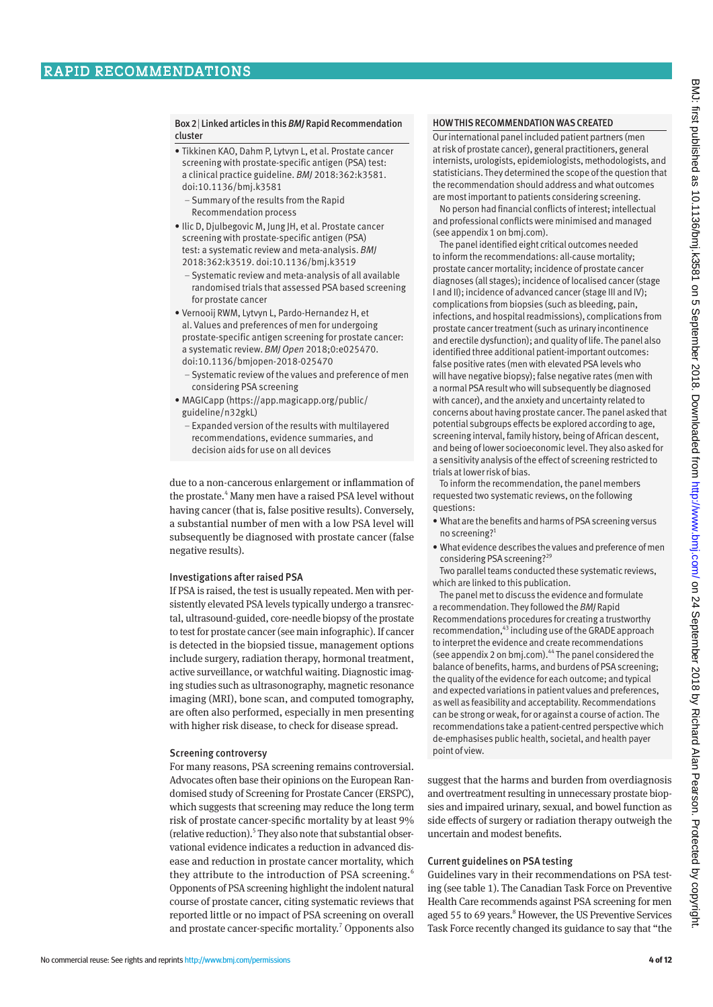#### Box 2| Linked articles in this *BMJ* Rapid Recommendation cluster

- Tikkinen KAO, Dahm P, Lytvyn L, et al. Prostate cancer screening with prostate-specific antigen (PSA) test: a clinical practice guideline. *BMJ* 2018:362:k3581. doi:10.1136/bmj.k3581
	- Summary of the results from the Rapid Recommendation process
- Ilic D, Djulbegovic M, Jung JH, et al. Prostate cancer screening with prostate-specific antigen (PSA) test: a systematic review and meta-analysis. *BMJ* 2018:362:k3519. doi:10.1136/bmj.k3519
	- Systematic review and meta-analysis of all available randomised trials that assessed PSA based screening for prostate cancer
- Vernooij RWM, Lytvyn L, Pardo-Hernandez H, et al. Values and preferences of men for undergoing prostate-specific antigen screening for prostate cancer: a systematic review. *BMJ Open* 2018;0:e025470. doi:10.1136/bmjopen-2018-025470
- Systematic review of the values and preference of men considering PSA screening
- MAGICapp (https://app.magicapp.org/public/ guideline/n32gkL)
	- Expanded version of the results with multilayered recommendations, evidence summaries, and decision aids for use on all devices

due to a non-cancerous enlargement or inflammation of the prostate.<sup>4</sup> Many men have a raised PSA level without having cancer (that is, false positive results). Conversely, a substantial number of men with a low PSA level will subsequently be diagnosed with prostate cancer (false negative results).

#### Investigations after raised PSA

If PSA is raised, the test is usually repeated. Men with persistently elevated PSA levels typically undergo a transrectal, ultrasound-guided, core-needle biopsy of the prostate to test for prostate cancer (see main infographic). If cancer is detected in the biopsied tissue, management options include surgery, radiation therapy, hormonal treatment, active surveillance, or watchful waiting. Diagnostic imaging studies such as ultrasonography, magnetic resonance imaging (MRI), bone scan, and computed tomography, are often also performed, especially in men presenting with higher risk disease, to check for disease spread.

#### Screening controversy

For many reasons, PSA screening remains controversial. Advocates often base their opinions on the European Randomised study of Screening for Prostate Cancer (ERSPC), which suggests that screening may reduce the long term risk of prostate cancer-specific mortality by at least 9% (relative reduction).<sup>5</sup> They also note that substantial observational evidence indicates a reduction in advanced disease and reduction in prostate cancer mortality, which they attribute to the introduction of PSA screening.<sup>6</sup> Opponents of PSA screening highlight the indolent natural course of prostate cancer, citing systematic reviews that reported little or no impact of PSA screening on overall and prostate cancer-specific mortality.<sup>7</sup> Opponents also

#### HOW THIS RECOMMENDATION WAS CREATED

Our international panel included patient partners (men at risk of prostate cancer), general practitioners, general internists, urologists, epidemiologists, methodologists, and statisticians. They determined the scope of the question that the recommendation should address and what outcomes are most important to patients considering screening.

No person had financial conflicts of interest; intellectual and professional conflicts were minimised and managed (see appendix 1 on bmj.com).

The panel identified eight critical outcomes needed to inform the recommendations: all-cause mortality; prostate cancer mortality; incidence of prostate cancer diagnoses (all stages); incidence of localised cancer (stage I and II); incidence of advanced cancer (stage III and IV); complications from biopsies (such as bleeding, pain, infections, and hospital readmissions), complications from prostate cancer treatment (such as urinary incontinence and erectile dysfunction); and quality of life. The panel also identified three additional patient-important outcomes: false positive rates (men with elevated PSA levels who will have negative biopsy); false negative rates (men with a normal PSA result who will subsequently be diagnosed with cancer), and the anxiety and uncertainty related to concerns about having prostate cancer. The panel asked that potential subgroups effects be explored according to age, screening interval, family history, being of African descent, and being of lower socioeconomic level. They also asked for a sensitivity analysis of the effect of screening restricted to trials at lower risk of bias.

To inform the recommendation, the panel members requested two systematic reviews, on the following questions:

- What are the benefits and harms of PSA screening versus no screening? $1$
- What evidence describes the values and preference of men considering PSA screening?<sup>29</sup>

Two parallel teams conducted these systematic reviews, which are linked to this publication.

The panel met to discuss the evidence and formulate a recommendation. They followed the *BMJ* Rapid Recommendations procedures for creating a trustworthy recommendation, <sup>43</sup> including use of the GRADE approach to interpret the evidence and create recommendations (see appendix 2 on bmj.com). $44$  The panel considered the balance of benefits, harms, and burdens of PSA screening; the quality of the evidence for each outcome; and typical and expected variations in patient values and preferences, as well as feasibility and acceptability. Recommendations can be strong or weak, for or against a course of action. The recommendations take a patient-centred perspective which de-emphasises public health, societal, and health payer point of view.

suggest that the harms and burden from overdiagnosis and overtreatment resulting in unnecessary prostate biopsies and impaired urinary, sexual, and bowel function as side effects of surgery or radiation therapy outweigh the uncertain and modest benefits.

#### Current guidelines on PSA testing

Guidelines vary in their recommendations on PSA testing (see table 1). The Canadian Task Force on Preventive Health Care recommends against PSA screening for men aged 55 to 69 years.<sup>8</sup> However, the US Preventive Services Task Force recently changed its guidance to say that "the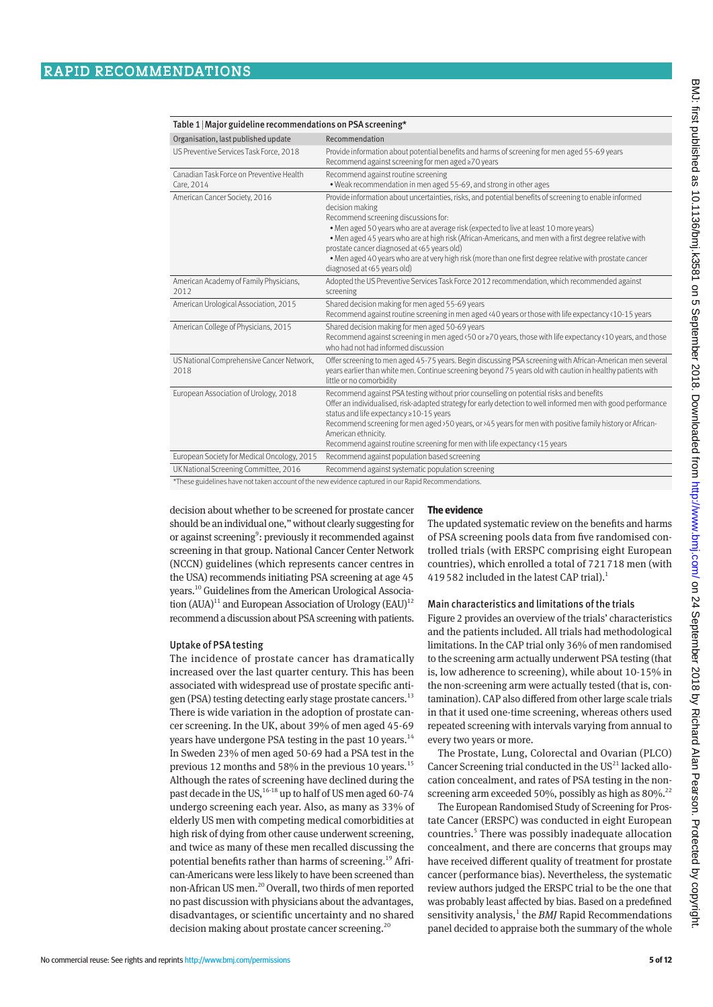| Table 1   Major guideline recommendations on PSA screening* |                                                        |                                                                                                                                                                                                                                                                                                                                                                                                                                                                                                                                                               |  |  |
|-------------------------------------------------------------|--------------------------------------------------------|---------------------------------------------------------------------------------------------------------------------------------------------------------------------------------------------------------------------------------------------------------------------------------------------------------------------------------------------------------------------------------------------------------------------------------------------------------------------------------------------------------------------------------------------------------------|--|--|
|                                                             | Organisation, last published update                    | Recommendation                                                                                                                                                                                                                                                                                                                                                                                                                                                                                                                                                |  |  |
|                                                             | US Preventive Services Task Force, 2018                | Provide information about potential benefits and harms of screening for men aged 55-69 years<br>Recommend against screening for men aged ≥70 years                                                                                                                                                                                                                                                                                                                                                                                                            |  |  |
|                                                             | Canadian Task Force on Preventive Health<br>Care, 2014 | Recommend against routine screening<br>. Weak recommendation in men aged 55-69, and strong in other ages                                                                                                                                                                                                                                                                                                                                                                                                                                                      |  |  |
|                                                             | American Cancer Society, 2016                          | Provide information about uncertainties, risks, and potential benefits of screening to enable informed<br>decision making<br>Recommend screening discussions for:<br>• Men aged 50 years who are at average risk (expected to live at least 10 more years)<br>. Men aged 45 years who are at high risk (African-Americans, and men with a first degree relative with<br>prostate cancer diagnosed at <65 years old)<br>. Men aged 40 years who are at very high risk (more than one first degree relative with prostate cancer<br>diagnosed at <65 years old) |  |  |
|                                                             | American Academy of Family Physicians,<br>2012         | Adopted the US Preventive Services Task Force 2012 recommendation, which recommended against<br>screening                                                                                                                                                                                                                                                                                                                                                                                                                                                     |  |  |
|                                                             | American Urological Association, 2015                  | Shared decision making for men aged 55-69 years<br>Recommend against routine screening in men aged <40 years or those with life expectancy <10-15 years                                                                                                                                                                                                                                                                                                                                                                                                       |  |  |
|                                                             | American College of Physicians, 2015                   | Shared decision making for men aged 50-69 years<br>Recommend against screening in men aged <50 or ≥70 years, those with life expectancy <10 years, and those<br>who had not had informed discussion                                                                                                                                                                                                                                                                                                                                                           |  |  |
|                                                             | US National Comprehensive Cancer Network,<br>2018      | Offer screening to men aged 45-75 years. Begin discussing PSA screening with African-American men several<br>years earlier than white men. Continue screening beyond 75 years old with caution in healthy patients with<br>little or no comorbidity                                                                                                                                                                                                                                                                                                           |  |  |
|                                                             | European Association of Urology, 2018                  | Recommend against PSA testing without prior counselling on potential risks and benefits<br>Offer an individualised, risk-adapted strategy for early detection to well informed men with good performance<br>status and life expectancy ≥10-15 years<br>Recommend screening for men aged >50 years, or >45 years for men with positive family history or African-<br>American ethnicity.<br>Recommend against routine screening for men with life expectancy <15 years                                                                                         |  |  |
|                                                             | European Society for Medical Oncology, 2015            | Recommend against population based screening                                                                                                                                                                                                                                                                                                                                                                                                                                                                                                                  |  |  |
|                                                             | UK National Screening Committee, 2016                  | Recommend against systematic population screening                                                                                                                                                                                                                                                                                                                                                                                                                                                                                                             |  |  |
|                                                             |                                                        | the contract of the contract of the contract of the contract of the contract of                                                                                                                                                                                                                                                                                                                                                                                                                                                                               |  |  |

\*These guidelines have not taken account of the new evidence captured in our Rapid Recommendations.

decision about whether to be screened for prostate cancer should be an individual one," without clearly suggesting for or against screening<sup>9</sup>: previously it recommended against screening in that group. National Cancer Center Network (NCCN) guidelines (which represents cancer centres in the USA) recommends initiating PSA screening at age 45 years.10 Guidelines from the American Urological Association  $(AUA)^{11}$  and European Association of Urology  $(EAU)^{12}$ recommend a discussion about PSA screening with patients.

#### Uptake of PSA testing

The incidence of prostate cancer has dramatically increased over the last quarter century. This has been associated with widespread use of prostate specific antigen (PSA) testing detecting early stage prostate cancers.<sup>13</sup> There is wide variation in the adoption of prostate cancer screening. In the UK, about 39% of men aged 45-69 years have undergone PSA testing in the past 10 years. $14$ In Sweden 23% of men aged 50-69 had a PSA test in the previous 12 months and 58% in the previous 10 years.<sup>15</sup> Although the rates of screening have declined during the past decade in the US,<sup>16-18</sup> up to half of US men aged 60-74 undergo screening each year. Also, as many as 33% of elderly US men with competing medical comorbidities at high risk of dying from other cause underwent screening, and twice as many of these men recalled discussing the potential benefits rather than harms of screening.<sup>19</sup> African-Americans were less likely to have been screened than non-African US men.20 Overall, two thirds of men reported no past discussion with physicians about the advantages, disadvantages, or scientific uncertainty and no shared decision making about prostate cancer screening.<sup>20</sup>

#### **The evidence**

The updated systematic review on the benefits and harms of PSA screening pools data from five randomised controlled trials (with ERSPC comprising eight European countries), which enrolled a total of 721718 men (with 419582 included in the latest CAP trial).<sup>1</sup>

#### Main characteristics and limitations of the trials

Figure 2 provides an overview of the trials' characteristics and the patients included. All trials had methodological limitations. In the CAP trial only 36% of men randomised to the screening arm actually underwent PSA testing (that is, low adherence to screening), while about 10-15% in the non-screening arm were actually tested (that is, contamination). CAP also differed from other large scale trials in that it used one-time screening, whereas others used repeated screening with intervals varying from annual to every two years or more.

The Prostate, Lung, Colorectal and Ovarian (PLCO) Cancer Screening trial conducted in the  $US<sup>21</sup>$  lacked allocation concealment, and rates of PSA testing in the nonscreening arm exceeded 50%, possibly as high as 80%.<sup>22</sup>

The European Randomised Study of Screening for Prostate Cancer (ERSPC) was conducted in eight European countries.<sup>5</sup> There was possibly inadequate allocation concealment, and there are concerns that groups may have received different quality of treatment for prostate cancer (performance bias). Nevertheless, the systematic review authors judged the ERSPC trial to be the one that was probably least affected by bias. Based on a predefined sensitivity analysis,<sup>1</sup> the *BMJ* Rapid Recommendations panel decided to appraise both the summary of the whole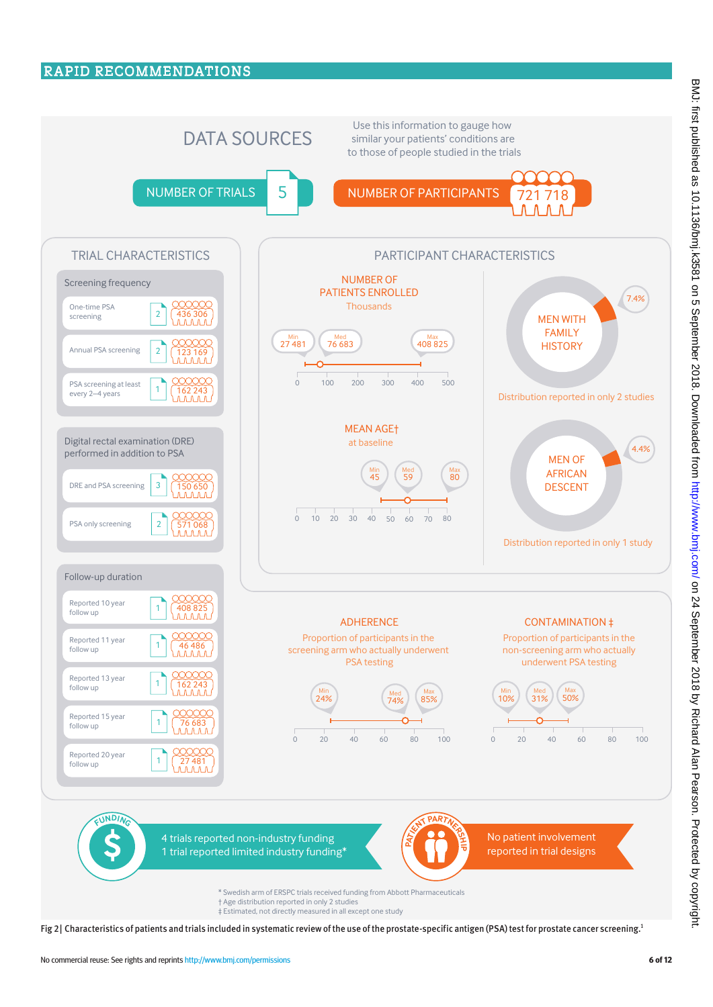

Fig 2| Characteristics of patients and trials included in systematic review of the use of the prostate-specific antigen (PSA) test for prostate cancer screening.<sup>1</sup>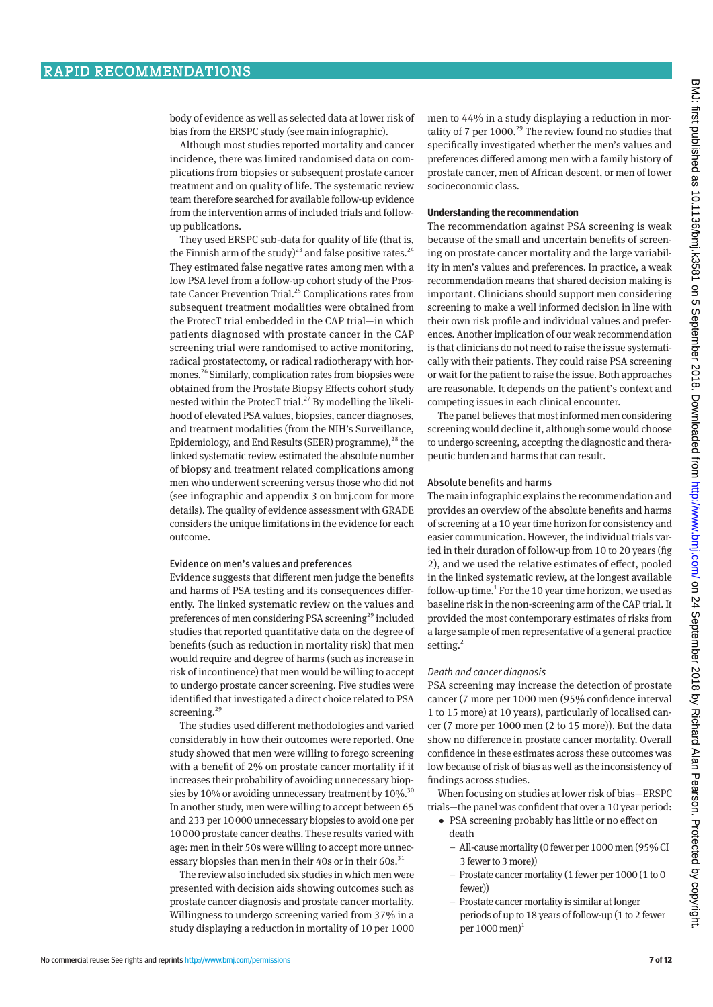body of evidence as well as selected data at lower risk of bias from the ERSPC study (see main infographic).

Although most studies reported mortality and cancer incidence, there was limited randomised data on complications from biopsies or subsequent prostate cancer treatment and on quality of life. The systematic review team therefore searched for available follow-up evidence from the intervention arms of included trials and followup publications.

They used ERSPC sub-data for quality of life (that is, the Finnish arm of the study)<sup>23</sup> and false positive rates.<sup>24</sup> They estimated false negative rates among men with a low PSA level from a follow-up cohort study of the Prostate Cancer Prevention Trial.<sup>25</sup> Complications rates from subsequent treatment modalities were obtained from the ProtecT trial embedded in the CAP trial—in which patients diagnosed with prostate cancer in the CAP screening trial were randomised to active monitoring, radical prostatectomy, or radical radiotherapy with hormones.<sup>26</sup> Similarly, complication rates from biopsies were obtained from the Prostate Biopsy Effects cohort study nested within the ProtecT trial.<sup>27</sup> By modelling the likelihood of elevated PSA values, biopsies, cancer diagnoses, and treatment modalities (from the NIH's Surveillance, Epidemiology, and End Results (SEER) programme), $^{28}$  the linked systematic review estimated the absolute number of biopsy and treatment related complications among men who underwent screening versus those who did not (see infographic and appendix 3 on bmj.com for more details). The quality of evidence assessment with GRADE considers the unique limitations in the evidence for each outcome.

#### Evidence on men's values and preferences

Evidence suggests that different men judge the benefits and harms of PSA testing and its consequences differently. The linked systematic review on the values and preferences of men considering PSA screening<sup>29</sup> included studies that reported quantitative data on the degree of benefits (such as reduction in mortality risk) that men would require and degree of harms (such as increase in risk of incontinence) that men would be willing to accept to undergo prostate cancer screening. Five studies were identified that investigated a direct choice related to PSA screening.<sup>29</sup>

The studies used different methodologies and varied considerably in how their outcomes were reported. One study showed that men were willing to forego screening with a benefit of 2% on prostate cancer mortality if it increases their probability of avoiding unnecessary biopsies by 10% or avoiding unnecessary treatment by  $10\%$ .<sup>30</sup> In another study, men were willing to accept between 65 and 233 per 10000 unnecessary biopsies to avoid one per 10000 prostate cancer deaths. These results varied with age: men in their 50s were willing to accept more unnecessary biopsies than men in their 40s or in their 60s. $31$ 

The review also included six studies in which men were presented with decision aids showing outcomes such as prostate cancer diagnosis and prostate cancer mortality. Willingness to undergo screening varied from 37% in a study displaying a reduction in mortality of 10 per 1000 men to 44% in a study displaying a reduction in mortality of 7 per  $1000.<sup>29</sup>$  The review found no studies that specifically investigated whether the men's values and preferences differed among men with a family history of prostate cancer, men of African descent, or men of lower socioeconomic class.

#### **Understanding the recommendation**

The recommendation against PSA screening is weak because of the small and uncertain benefits of screening on prostate cancer mortality and the large variability in men's values and preferences. In practice, a weak recommendation means that shared decision making is important. Clinicians should support men considering screening to make a well informed decision in line with their own risk profile and individual values and preferences. Another implication of our weak recommendation is that clinicians do not need to raise the issue systematically with their patients. They could raise PSA screening or wait for the patient to raise the issue. Both approaches are reasonable. It depends on the patient's context and competing issues in each clinical encounter.

The panel believes that most informed men considering screening would decline it, although some would choose to undergo screening, accepting the diagnostic and therapeutic burden and harms that can result.

#### Absolute benefits and harms

The main infographic explains the recommendation and provides an overview of the absolute benefits and harms of screening at a 10 year time horizon for consistency and easier communication. However, the individual trials varied in their duration of follow-up from 10 to 20 years (fig 2), and we used the relative estimates of effect, pooled in the linked systematic review, at the longest available follow-up time.<sup>1</sup> For the 10 year time horizon, we used as baseline risk in the non-screening arm of the CAP trial. It provided the most contemporary estimates of risks from a large sample of men representative of a general practice setting.<sup>2</sup>

#### *Death and cancer diagnosis*

PSA screening may increase the detection of prostate cancer (7 more per 1000 men (95% confidence interval 1 to 15 more) at 10 years), particularly of localised cancer (7 more per 1000 men (2 to 15 more)). But the data show no difference in prostate cancer mortality. Overall confidence in these estimates across these outcomes was low because of risk of bias as well as the inconsistency of findings across studies.

When focusing on studies at lower risk of bias—ERSPC trials—the panel was confident that over a 10 year period:

- •  PSA screening probably has little or no effect on death
	- All-cause mortality (0 fewer per 1000 men (95% CI 3 fewer to 3 more))
	- Prostate cancer mortality (1 fewer per 1000 (1 to 0 fewer))
	- Prostate cancer mortality is similar at longer periods of up to 18 years of follow-up (1 to 2 fewer per  $1000$  men)<sup>1</sup>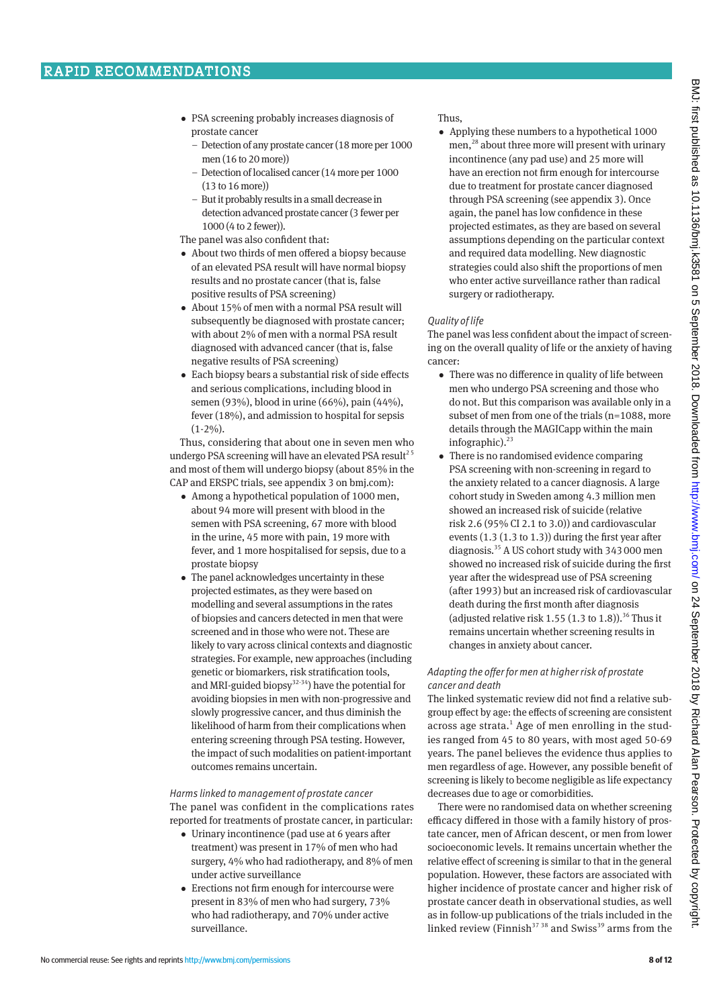- •  PSA screening probably increases diagnosis of prostate cancer
	- Detection of any prostate cancer (18 more per 1000 men (16 to 20 more))
	- Detection of localised cancer (14 more per 1000 (13 to 16 more))
	- But it probably results in a small decrease in detection advanced prostate cancer (3 fewer per 1000 (4 to 2 fewer)).

The panel was also confident that:

- •  About two thirds of men offered a biopsy because of an elevated PSA result will have normal biopsy results and no prostate cancer (that is, false positive results of PSA screening)
- About 15% of men with a normal PSA result will subsequently be diagnosed with prostate cancer; with about 2% of men with a normal PSA result diagnosed with advanced cancer (that is, false negative results of PSA screening)
- •  Each biopsy bears a substantial risk of side effects and serious complications, including blood in semen (93%), blood in urine (66%), pain (44%), fever (18%), and admission to hospital for sepsis  $(1-2\%)$ .

Thus, considering that about one in seven men who undergo PSA screening will have an elevated PSA result<sup>25</sup> and most of them will undergo biopsy (about 85% in the CAP and ERSPC trials, see appendix 3 on bmj.com):

- Among a hypothetical population of 1000 men, about 94 more will present with blood in the semen with PSA screening, 67 more with blood in the urine, 45 more with pain, 19 more with fever, and 1 more hospitalised for sepsis, due to a prostate biopsy
- The panel acknowledges uncertainty in these projected estimates, as they were based on modelling and several assumptions in the rates of biopsies and cancers detected in men that were screened and in those who were not. These are likely to vary across clinical contexts and diagnostic strategies. For example, new approaches (including genetic or biomarkers, risk stratification tools, and MRI-guided biopsy<sup>32-34</sup>) have the potential for avoiding biopsies in men with non-progressive and slowly progressive cancer, and thus diminish the likelihood of harm from their complications when entering screening through PSA testing. However, the impact of such modalities on patient-important outcomes remains uncertain.

*Harms linked to management of prostate cancer* The panel was confident in the complications rates reported for treatments of prostate cancer, in particular:

- •  Urinary incontinence (pad use at 6 years after treatment) was present in 17% of men who had surgery, 4% who had radiotherapy, and 8% of men under active surveillance
- •  Erections not firm enough for intercourse were present in 83% of men who had surgery, 73% who had radiotherapy, and 70% under active surveillance.

#### Thus,

• Applying these numbers to a hypothetical 1000 men,<sup>28</sup> about three more will present with urinary incontinence (any pad use) and 25 more will have an erection not firm enough for intercourse due to treatment for prostate cancer diagnosed through PSA screening (see appendix 3). Once again, the panel has low confidence in these projected estimates, as they are based on several assumptions depending on the particular context and required data modelling. New diagnostic strategies could also shift the proportions of men who enter active surveillance rather than radical surgery or radiotherapy.

#### *Quality of life*

The panel was less confident about the impact of screening on the overall quality of life or the anxiety of having cancer:

- There was no difference in quality of life between men who undergo PSA screening and those who do not. But this comparison was available only in a subset of men from one of the trials (n=1088, more details through the MAGICapp within the main infographic). $23$
- There is no randomised evidence comparing PSA screening with non-screening in regard to the anxiety related to a cancer diagnosis. A large cohort study in Sweden among 4.3 million men showed an increased risk of suicide (relative risk 2.6 (95% CI 2.1 to 3.0)) and cardiovascular events (1.3 (1.3 to 1.3)) during the first year after diagnosis.35 A US cohort study with 343000 men showed no increased risk of suicide during the first year after the widespread use of PSA screening (after 1993) but an increased risk of cardiovascular death during the first month after diagnosis (adjusted relative risk 1.55 (1.3 to 1.8)).<sup>36</sup> Thus it remains uncertain whether screening results in changes in anxiety about cancer.

#### *Adapting the offer for men at higher risk of prostate cancer and death*

The linked systematic review did not find a relative subgroup effect by age: the effects of screening are consistent across age strata.<sup>1</sup> Age of men enrolling in the studies ranged from 45 to 80 years, with most aged 50-69 years. The panel believes the evidence thus applies to men regardless of age. However, any possible benefit of screening is likely to become negligible as life expectancy decreases due to age or comorbidities.

There were no randomised data on whether screening efficacy differed in those with a family history of prostate cancer, men of African descent, or men from lower socioeconomic levels. It remains uncertain whether the relative effect of screening is similar to that in the general population. However, these factors are associated with higher incidence of prostate cancer and higher risk of prostate cancer death in observational studies, as well as in follow-up publications of the trials included in the linked review (Finnish<sup>3738</sup> and Swiss<sup>39</sup> arms from the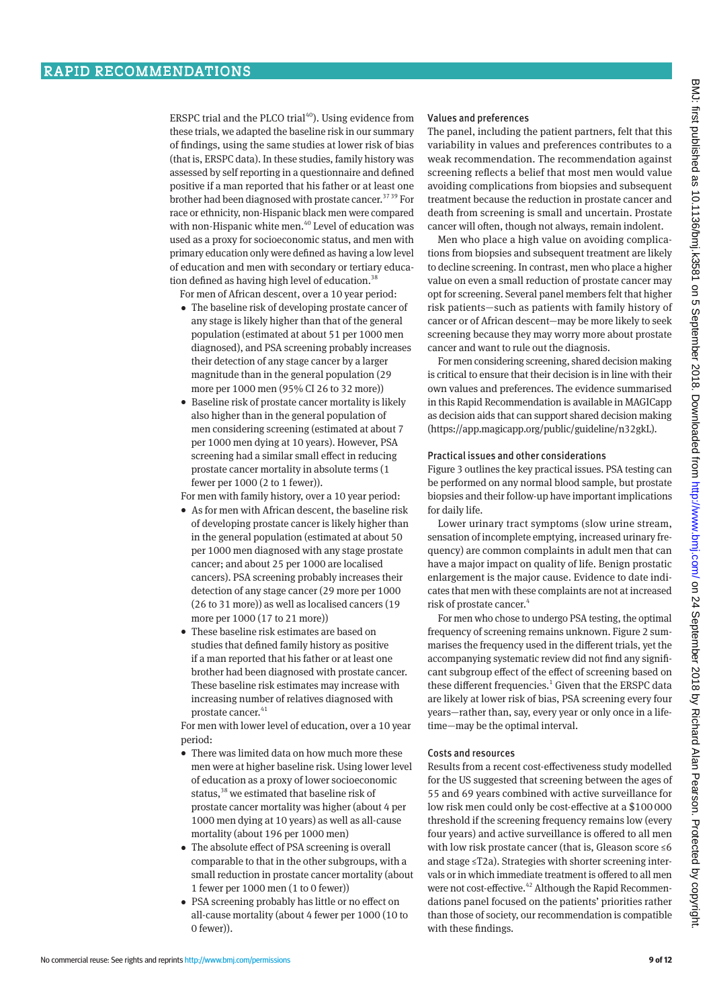ERSPC trial and the PLCO trial<sup>40</sup>). Using evidence from these trials, we adapted the baseline risk in our summary of findings, using the same studies at lower risk of bias (that is, ERSPC data). In these studies, family history was assessed by self reporting in a questionnaire and defined positive if a man reported that his father or at least one brother had been diagnosed with prostate cancer.<sup>37,39</sup> For race or ethnicity, non-Hispanic black men were compared with non-Hispanic white men.<sup>40</sup> Level of education was used as a proxy for socioeconomic status, and men with primary education only were defined as having a low level of education and men with secondary or tertiary education defined as having high level of education.<sup>38</sup>

For men of African descent, over a 10 year period:

- •  The baseline risk of developing prostate cancer of any stage is likely higher than that of the general population (estimated at about 51 per 1000 men diagnosed), and PSA screening probably increases their detection of any stage cancer by a larger magnitude than in the general population (29 more per 1000 men (95% CI 26 to 32 more))
- •  Baseline risk of prostate cancer mortality is likely also higher than in the general population of men considering screening (estimated at about 7 per 1000 men dying at 10 years). However, PSA screening had a similar small effect in reducing prostate cancer mortality in absolute terms (1 fewer per 1000 (2 to 1 fewer)).

For men with family history, over a 10 year period:

- As for men with African descent, the baseline risk of developing prostate cancer is likely higher than in the general population (estimated at about 50 per 1000 men diagnosed with any stage prostate cancer; and about 25 per 1000 are localised cancers). PSA screening probably increases their detection of any stage cancer (29 more per 1000 (26 to 31 more)) as well as localised cancers (19 more per 1000 (17 to 21 more))
- •  These baseline risk estimates are based on studies that defined family history as positive if a man reported that his father or at least one brother had been diagnosed with prostate cancer. These baseline risk estimates may increase with increasing number of relatives diagnosed with prostate cancer.<sup>41</sup>

For men with lower level of education, over a 10 year period:

- There was limited data on how much more these men were at higher baseline risk. Using lower level of education as a proxy of lower socioeconomic status,<sup>38</sup> we estimated that baseline risk of prostate cancer mortality was higher (about 4 per 1000 men dying at 10 years) as well as all-cause mortality (about 196 per 1000 men)
- The absolute effect of PSA screening is overall comparable to that in the other subgroups, with a small reduction in prostate cancer mortality (about 1 fewer per 1000 men (1 to 0 fewer))
- •  PSA screening probably has little or no effect on all-cause mortality (about 4 fewer per 1000 (10 to 0 fewer)).

### Values and preferences

The panel, including the patient partners, felt that this variability in values and preferences contributes to a weak recommendation. The recommendation against screening reflects a belief that most men would value avoiding complications from biopsies and subsequent treatment because the reduction in prostate cancer and death from screening is small and uncertain. Prostate cancer will often, though not always, remain indolent.

Men who place a high value on avoiding complications from biopsies and subsequent treatment are likely to decline screening. In contrast, men who place a higher value on even a small reduction of prostate cancer may opt for screening. Several panel members felt that higher risk patients—such as patients with family history of cancer or of African descent—may be more likely to seek screening because they may worry more about prostate cancer and want to rule out the diagnosis.

For men considering screening, shared decision making is critical to ensure that their decision is in line with their own values and preferences. The evidence summarised in this Rapid Recommendation is available in MAGICapp as decision aids that can support shared decision making (https://app.magicapp.org/public/guideline/n32gkL).

#### Practical issues and other considerations

Figure 3 outlines the key practical issues. PSA testing can be performed on any normal blood sample, but prostate biopsies and their follow-up have important implications for daily life.

Lower urinary tract symptoms (slow urine stream, sensation of incomplete emptying, increased urinary frequency) are common complaints in adult men that can have a major impact on quality of life. Benign prostatic enlargement is the major cause. Evidence to date indicates that men with these complaints are not at increased risk of prostate cancer.<sup>4</sup>

For men who chose to undergo PSA testing, the optimal frequency of screening remains unknown. Figure 2 summarises the frequency used in the different trials, yet the accompanying systematic review did not find any significant subgroup effect of the effect of screening based on these different frequencies.<sup>1</sup> Given that the ERSPC data are likely at lower risk of bias, PSA screening every four years—rather than, say, every year or only once in a lifetime—may be the optimal interval.

#### Costs and resources

Results from a recent cost-effectiveness study modelled for the US suggested that screening between the ages of 55 and 69 years combined with active surveillance for low risk men could only be cost-effective at a \$100000 threshold if the screening frequency remains low (every four years) and active surveillance is offered to all men with low risk prostate cancer (that is, Gleason score ≤6 and stage ≤T2a). Strategies with shorter screening intervals or in which immediate treatment is offered to all men were not cost-effective.<sup>42</sup> Although the Rapid Recommendations panel focused on the patients' priorities rather than those of society, our recommendation is compatible with these findings.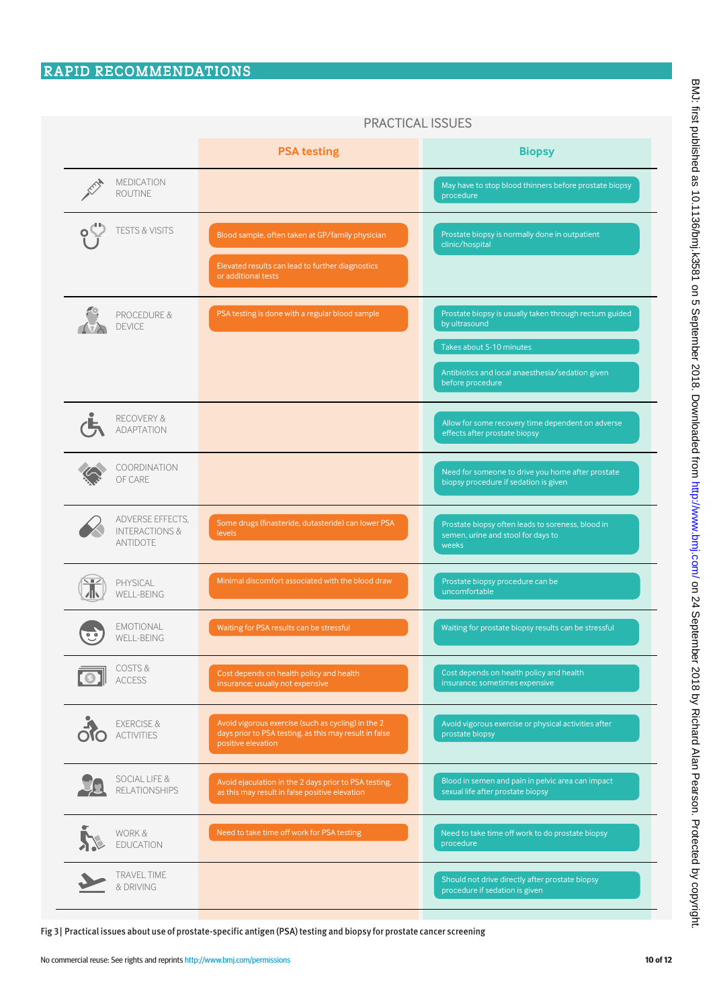Fig 3| Practical issues about use of prostate-specific antigen (PSA) testing and biopsy for prostate cancer screening

| <b>RAPID RECOMMENDATIONS</b> |
|------------------------------|
|                              |

|                                                                         | <b>PRACTICAL ISSUES</b>                                                                                                            |                                                                                                                                                                             |  |  |  |  |
|-------------------------------------------------------------------------|------------------------------------------------------------------------------------------------------------------------------------|-----------------------------------------------------------------------------------------------------------------------------------------------------------------------------|--|--|--|--|
|                                                                         | <b>PSA testing</b>                                                                                                                 | <b>Biopsy</b>                                                                                                                                                               |  |  |  |  |
| <b>MEDICATION</b><br><b>ROUTINE</b>                                     |                                                                                                                                    | May have to stop blood thinners before prostate biopsy<br>procedure                                                                                                         |  |  |  |  |
| <b>TESTS &amp; VISITS</b>                                               | Blood sample, often taken at GP/family physician<br>Elevated results can lead to further diagnostics<br>or additional tests        | Prostate biopsy is normally done in outpatient<br>clinic/hospital                                                                                                           |  |  |  |  |
| <b>PROCEDURE &amp;</b><br><b>DEVICE</b>                                 | PSA testing is done with a regular blood sample                                                                                    | Prostate biopsy is usually taken through rectum guided<br>by ultrasound<br>Takes about 5-10 minutes<br>Antibiotics and local anaesthesia/sedation given<br>before procedure |  |  |  |  |
| <b>RECOVERY &amp;</b><br><b>ADAPTATION</b>                              |                                                                                                                                    | Allow for some recovery time dependent on adverse<br>effects after prostate biopsy                                                                                          |  |  |  |  |
| COORDINATION<br>OF CARE                                                 |                                                                                                                                    | Need for someone to drive you home after prostate<br>biopsy procedure if sedation is given                                                                                  |  |  |  |  |
| <b>ADVERSE EFFECTS.</b><br><b>INTERACTIONS &amp;</b><br><b>ANTIDOTE</b> | Some drugs (finasteride, dutasteride) can lower PSA<br><b>levels</b>                                                               | Prostate biopsy often leads to soreness, blood in<br>semen, urine and stool for days to<br>weeks                                                                            |  |  |  |  |
| PHYSICAL<br><b>WELL-BEING</b>                                           | Minimal discomfort associated with the blood draw                                                                                  | Prostate biopsy procedure can be<br>uncomfortable                                                                                                                           |  |  |  |  |
| <b>EMOTIONAL</b><br><b>WELL-BEING</b>                                   | Waiting for PSA results can be stressful                                                                                           | Waiting for prostate biopsy results can be stressful                                                                                                                        |  |  |  |  |
| COSTS &<br><b>ACCESS</b>                                                | Cost depends on health policy and health<br>insurance; usually not expensive                                                       | Cost depends on health policy and health<br>insurance; sometimes expensive                                                                                                  |  |  |  |  |
| <b>EXERCISE &amp;</b><br><b>ACTIVITIES</b>                              | Avoid vigorous exercise (such as cycling) in the 2<br>days prior to PSA testing, as this may result in false<br>positive elevation | Avoid vigorous exercise or physical activities after<br>prostate biopsy                                                                                                     |  |  |  |  |
| SOCIAL LIFE &<br><b>RELATIONSHIPS</b>                                   | Avoid ejaculation in the 2 days prior to PSA testing,<br>as this may result in false positive elevation                            | Blood in semen and pain in pelvic area can impact<br>sexual life after prostate biopsy                                                                                      |  |  |  |  |
| WORK &<br><b>EDUCATION</b>                                              | Need to take time off work for PSA testing                                                                                         | Need to take time off work to do prostate biopsy<br>procedure                                                                                                               |  |  |  |  |
| TRAVEL TIME<br>& DRIVING                                                |                                                                                                                                    | Should not drive directly after prostate biopsy<br>procedure if sedation is given                                                                                           |  |  |  |  |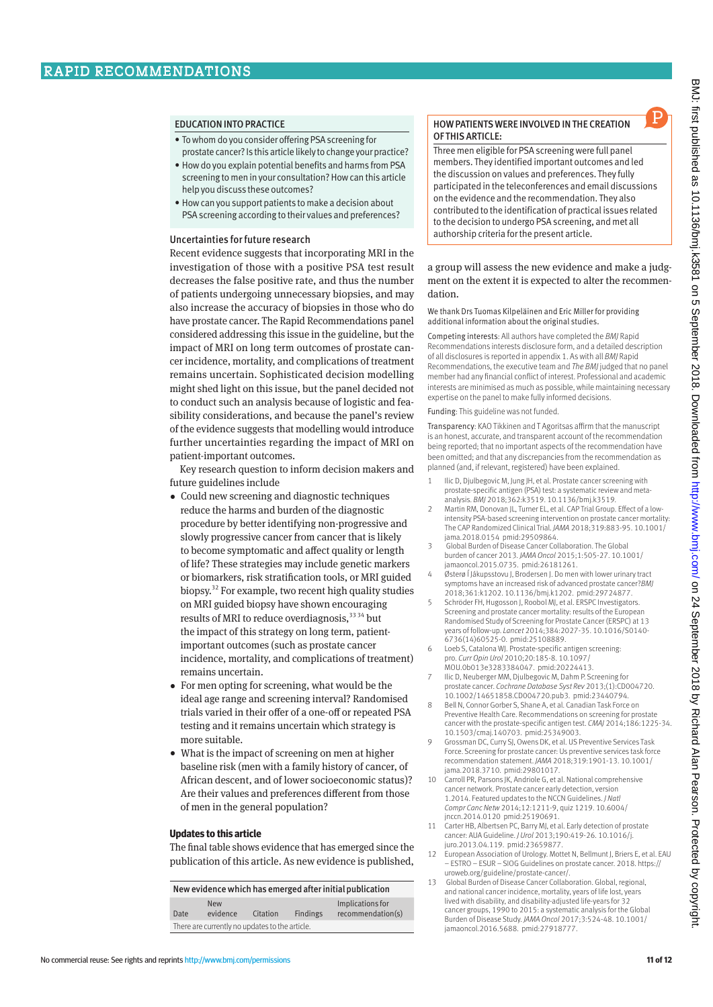#### EDUCATION INTO PRACTICE

- To whom do you consider offering PSA screening for prostate cancer? Is this article likely to change your practice?
- How do you explain potential benefits and harms from PSA screening to men in your consultation? How can this article help you discuss these outcomes?
- How can you support patients to make a decision about PSA screening according to their values and preferences?

#### Uncertainties for future research

Recent evidence suggests that incorporating MRI in the investigation of those with a positive PSA test result decreases the false positive rate, and thus the number of patients undergoing unnecessary biopsies, and may also increase the accuracy of biopsies in those who do have prostate cancer. The Rapid Recommendations panel considered addressing this issue in the guideline, but the impact of MRI on long term outcomes of prostate cancer incidence, mortality, and complications of treatment remains uncertain. Sophisticated decision modelling might shed light on this issue, but the panel decided not to conduct such an analysis because of logistic and feasibility considerations, and because the panel's review of the evidence suggests that modelling would introduce further uncertainties regarding the impact of MRI on patient-important outcomes.

Key research question to inform decision makers and future guidelines include

- •  Could new screening and diagnostic techniques reduce the harms and burden of the diagnostic procedure by better identifying non-progressive and slowly progressive cancer from cancer that is likely to become symptomatic and affect quality or length of life? These strategies may include genetic markers or biomarkers, risk stratification tools, or MRI guided biopsy.<sup>32</sup> For example, two recent high quality studies on MRI guided biopsy have shown encouraging results of MRI to reduce overdiagnosis,<sup>33 34</sup> but the impact of this strategy on long term, patientimportant outcomes (such as prostate cancer incidence, mortality, and complications of treatment) remains uncertain.
- For men opting for screening, what would be the ideal age range and screening interval? Randomised trials varied in their offer of a one-off or repeated PSA testing and it remains uncertain which strategy is more suitable.
- •  What is the impact of screening on men at higher baseline risk (men with a family history of cancer, of African descent, and of lower socioeconomic status)? Are their values and preferences different from those of men in the general population?

#### **Updates to this article**

The final table shows evidence that has emerged since the publication of this article. As new evidence is published,

| New evidence which has emerged after initial publication |                                                |  |                 |                                       |  |  |  |
|----------------------------------------------------------|------------------------------------------------|--|-----------------|---------------------------------------|--|--|--|
| Date                                                     | <b>New</b><br>evidence<br>Citation             |  | <b>Findings</b> | Implications for<br>recommendation(s) |  |  |  |
|                                                          | There are currently no updates to the article. |  |                 |                                       |  |  |  |

#### HOW PATIENTS WERE INVOLVED IN THE CREATION OF THIS ARTICLE:

Three men eligible for PSA screening were full panel members. They identified important outcomes and led the discussion on values and preferences. They fully participated in the teleconferences and email discussions on the evidence and the recommendation. They also contributed to the identification of practical issues related to the decision to undergo PSA screening, and met all authorship criteria for the present article.

a group will assess the new evidence and make a judgment on the extent it is expected to alter the recommendation.

We thank Drs Tuomas Kilpeläinen and Eric Miller for providing additional information about the original studies.

Competing interests: All authors have completed the *BMJ* Rapid Recommendations interests disclosure form, and a detailed description of all disclosures is reported in appendix 1. As with all *BMJ* Rapid Recommendations, the executive team and *The BMJ* judged that no panel member had any financial conflict of interest. Professional and academic interests are minimised as much as possible, while maintaining necessary expertise on the panel to make fully informed decisions.

Funding: This guideline was not funded.

Transparency: KAO Tikkinen and T Agoritsas affirm that the manuscript is an honest, accurate, and transparent account of the recommendation being reported; that no important aspects of the recommendation have been omitted; and that any discrepancies from the recommendation as planned (and, if relevant, registered) have been explained.

- Ilic D, Djulbegovic M, Jung JH, et al. Prostate cancer screening with prostate-specific antigen (PSA) test: a systematic review and metaanalysis. *BMJ* 2018;362:k3519. 10.1136/bmj.k3519.
- 2 Martin RM, Donovan JL, Turner EL, et al. CAP Trial Group. Effect of a lowintensity PSA-based screening intervention on prostate cancer mortality: The CAP Randomized Clinical Trial. *JAMA* 2018;319:883-95. 10.1001/ jama.2018.0154 pmid:29509864.
- 3 Global Burden of Disease Cancer Collaboration. The Global burden of cancer 2013. *JAMA Oncol* 2015;1:505-27. 10.1001/ jamaoncol.2015.0735. pmid:26181261.
- Østerø Í Jákupsstovu J. Brodersen J. Do men with lower urinary tract symptoms have an increased risk of advanced prostate cancer?*BMJ* 2018;361:k1202. 10.1136/bmj.k1202. pmid:29724877.
- 5 Schröder FH, Hugosson J, Roobol MJ, et al. ERSPC Investigators. Screening and prostate cancer mortality: results of the European Randomised Study of Screening for Prostate Cancer (ERSPC) at 13 years of follow-up. *Lancet* 2014;384:2027-35. 10.1016/S0140- 6736(14)60525-0. pmid:25108889.
- 6 Loeb S, Catalona WJ. Prostate-specific antigen screening: pro. *Curr Opin Urol* 2010;20:185-8. 10.1097/ MOU.0b013e3283384047. pmid:20224413.
- Ilic D, Neuberger MM, Djulbegovic M, Dahm P. Screening for prostate cancer. *Cochrane Database Syst Rev* 2013;(1):CD004720. 10.1002/14651858.CD004720.pub3. pmid:23440794.
- 8 Bell N, Connor Gorber S, Shane A, et al. Canadian Task Force on Preventive Health Care. Recommendations on screening for prostate cancer with the prostate-specific antigen test. *CMAJ* 2014;186:1225-34. 10.1503/cmaj.140703. pmid:25349003.
- 9 Grossman DC, Curry SJ, Owens DK, et al. US Preventive Services Task Force. Screening for prostate cancer: Us preventive services task force recommendation statement. *JAMA* 2018;319:1901-13. 10.1001/ jama.2018.3710. pmid:29801017.
- 10 Carroll PR, Parsons JK, Andriole G, et al. National comprehensive cancer network. Prostate cancer early detection, version 1.2014. Featured updates to the NCCN Guidelines. *J Natl Compr Canc Netw* 2014;12:1211-9, quiz 1219. 10.6004/ jnccn.2014.0120 pmid:25190691.
- 11 Carter HB, Albertsen PC, Barry MJ, et al. Early detection of prostate cancer: AUA Guideline. *J Urol* 2013;190:419-26. 10.1016/j. juro.2013.04.119. pmid:23659877.
- 12 European Association of Urology. Mottet N, Bellmunt J, Briers E, et al. EAU – ESTRO – ESUR – SIOG Guidelines on prostate cancer. 2018. https:// uroweb.org/guideline/prostate-cancer/.
- 13 Global Burden of Disease Cancer Collaboration. Global, regional, and national cancer incidence, mortality, years of life lost, years lived with disability, and disability-adjusted life-years for 32 cancer groups, 1990 to 2015: a systematic analysis for the Global Burden of Disease Study. *JAMA Oncol* 2017;3:524-48. 10.1001/ jamaoncol.2016.5688. pmid:27918777.

P